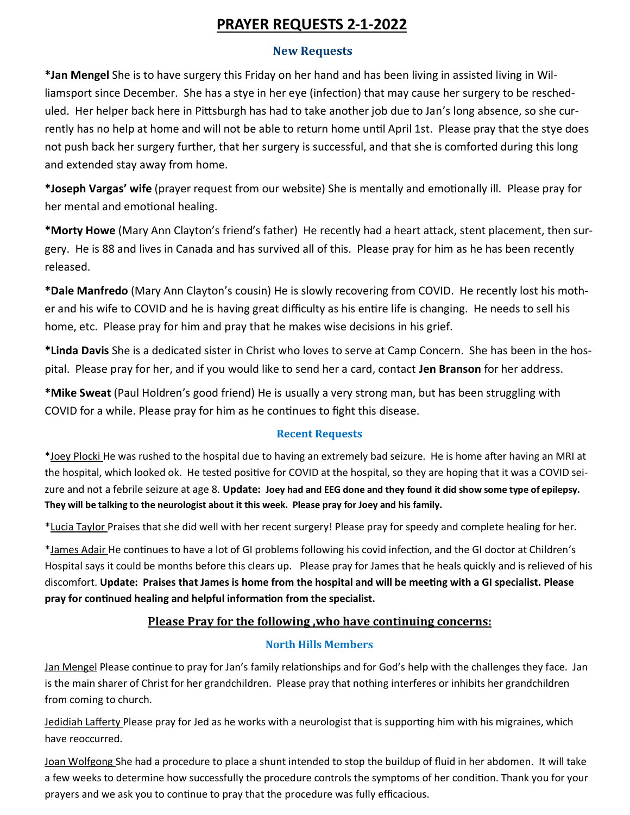# **PRAYER REQUESTS 2-1-2022**

### **New Requests**

**\*Jan Mengel** She is to have surgery this Friday on her hand and has been living in assisted living in Williamsport since December. She has a stye in her eye (infection) that may cause her surgery to be rescheduled. Her helper back here in Pittsburgh has had to take another job due to Jan's long absence, so she currently has no help at home and will not be able to return home until April 1st. Please pray that the stye does not push back her surgery further, that her surgery is successful, and that she is comforted during this long and extended stay away from home.

**\*Joseph Vargas' wife** (prayer request from our website) She is mentally and emotionally ill. Please pray for her mental and emotional healing.

**\*Morty Howe** (Mary Ann Clayton's friend's father) He recently had a heart attack, stent placement, then surgery. He is 88 and lives in Canada and has survived all of this. Please pray for him as he has been recently released.

**\*Dale Manfredo** (Mary Ann Clayton's cousin) He is slowly recovering from COVID. He recently lost his mother and his wife to COVID and he is having great difficulty as his entire life is changing. He needs to sell his home, etc. Please pray for him and pray that he makes wise decisions in his grief.

**\*Linda Davis** She is a dedicated sister in Christ who loves to serve at Camp Concern. She has been in the hospital. Please pray for her, and if you would like to send her a card, contact **Jen Branson** for her address.

**\*Mike Sweat** (Paul Holdren's good friend) He is usually a very strong man, but has been struggling with COVID for a while. Please pray for him as he continues to fight this disease.

## **Recent Requests**

\*Joey Plocki He was rushed to the hospital due to having an extremely bad seizure. He is home after having an MRI at the hospital, which looked ok. He tested positive for COVID at the hospital, so they are hoping that it was a COVID seizure and not a febrile seizure at age 8. **Update: Joey had and EEG done and they found it did show some type of epilepsy. They will be talking to the neurologist about it this week. Please pray for Joey and his family.** 

\*Lucia Taylor Praises that she did well with her recent surgery! Please pray for speedy and complete healing for her.

\*James Adair He continues to have a lot of GI problems following his covid infection, and the GI doctor at Children's Hospital says it could be months before this clears up. Please pray for James that he heals quickly and is relieved of his discomfort. **Update: Praises that James is home from the hospital and will be meeting with a GI specialist. Please pray for continued healing and helpful information from the specialist.**

## **Please Pray for the following ,who have continuing concerns:**

## **North Hills Members**

Jan Mengel Please continue to pray for Jan's family relationships and for God's help with the challenges they face. Jan is the main sharer of Christ for her grandchildren. Please pray that nothing interferes or inhibits her grandchildren from coming to church.

Jedidiah Lafferty Please pray for Jed as he works with a neurologist that is supporting him with his migraines, which have reoccurred.

Joan Wolfgong She had a procedure to place a shunt intended to stop the buildup of fluid in her abdomen. It will take a few weeks to determine how successfully the procedure controls the symptoms of her condition. Thank you for your prayers and we ask you to continue to pray that the procedure was fully efficacious.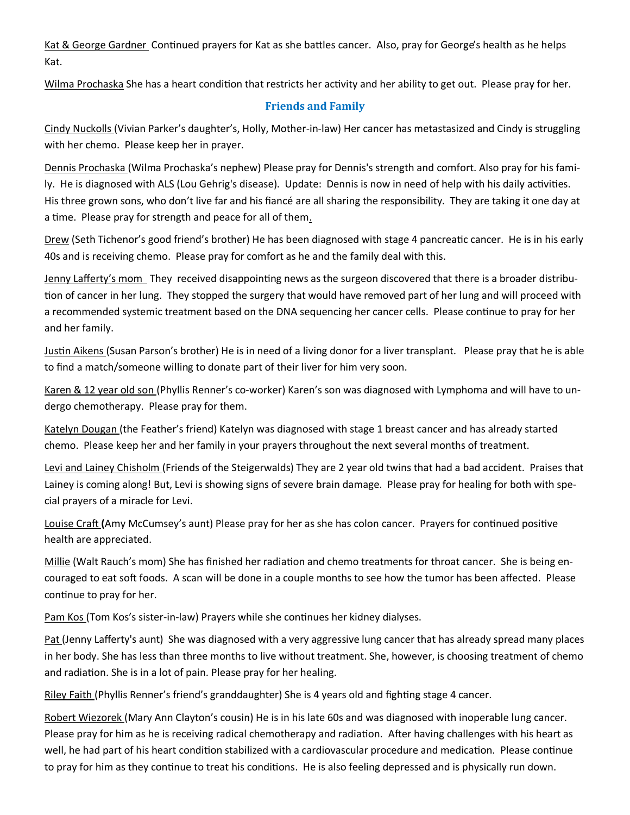Kat & George Gardner Continued prayers for Kat as she battles cancer. Also, pray for George's health as he helps Kat.

Wilma Prochaska She has a heart condition that restricts her activity and her ability to get out. Please pray for her.

#### **Friends and Family**

Cindy Nuckolls (Vivian Parker's daughter's, Holly, Mother-in-law) Her cancer has metastasized and Cindy is struggling with her chemo. Please keep her in prayer.

Dennis Prochaska (Wilma Prochaska's nephew) Please pray for Dennis's strength and comfort. Also pray for his family. He is diagnosed with ALS (Lou Gehrig's disease). Update: Dennis is now in need of help with his daily activities. His three grown sons, who don't live far and his fiancé are all sharing the responsibility. They are taking it one day at a time. Please pray for strength and peace for all of them.

Drew (Seth Tichenor's good friend's brother) He has been diagnosed with stage 4 pancreatic cancer. He is in his early 40s and is receiving chemo. Please pray for comfort as he and the family deal with this.

Jenny Lafferty's mom They received disappointing news as the surgeon discovered that there is a broader distribution of cancer in her lung. They stopped the surgery that would have removed part of her lung and will proceed with a recommended systemic treatment based on the DNA sequencing her cancer cells. Please continue to pray for her and her family.

Justin Aikens (Susan Parson's brother) He is in need of a living donor for a liver transplant. Please pray that he is able to find a match/someone willing to donate part of their liver for him very soon.

Karen & 12 year old son (Phyllis Renner's co-worker) Karen's son was diagnosed with Lymphoma and will have to undergo chemotherapy. Please pray for them.

Katelyn Dougan (the Feather's friend) Katelyn was diagnosed with stage 1 breast cancer and has already started chemo. Please keep her and her family in your prayers throughout the next several months of treatment.

Levi and Lainey Chisholm (Friends of the Steigerwalds) They are 2 year old twins that had a bad accident. Praises that Lainey is coming along! But, Levi is showing signs of severe brain damage. Please pray for healing for both with special prayers of a miracle for Levi.

Louise Craft **(**Amy McCumsey's aunt) Please pray for her as she has colon cancer. Prayers for continued positive health are appreciated.

Millie (Walt Rauch's mom) She has finished her radiation and chemo treatments for throat cancer. She is being encouraged to eat soft foods. A scan will be done in a couple months to see how the tumor has been affected. Please continue to pray for her.

Pam Kos (Tom Kos's sister-in-law) Prayers while she continues her kidney dialyses.

Pat (Jenny Lafferty's aunt) She was diagnosed with a very aggressive lung cancer that has already spread many places in her body. She has less than three months to live without treatment. She, however, is choosing treatment of chemo and radiation. She is in a lot of pain. Please pray for her healing.

Riley Faith (Phyllis Renner's friend's granddaughter) She is 4 years old and fighting stage 4 cancer.

Robert Wiezorek (Mary Ann Clayton's cousin) He is in his late 60s and was diagnosed with inoperable lung cancer. Please pray for him as he is receiving radical chemotherapy and radiation. After having challenges with his heart as well, he had part of his heart condition stabilized with a cardiovascular procedure and medication. Please continue to pray for him as they continue to treat his conditions. He is also feeling depressed and is physically run down.